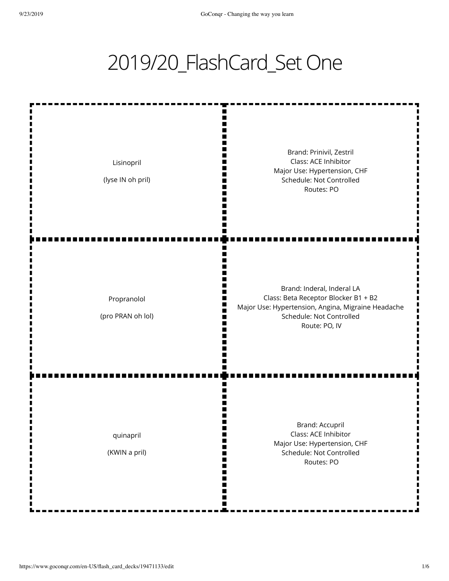## 2019/20\_FlashCard\_Set One

| Lisinopril<br>(lyse IN oh pril)  | Brand: Prinivil, Zestril<br>Class: ACE Inhibitor<br>Major Use: Hypertension, CHF<br>Schedule: Not Controlled<br>Routes: PO                                            |
|----------------------------------|-----------------------------------------------------------------------------------------------------------------------------------------------------------------------|
| Propranolol<br>(pro PRAN oh lol) | Brand: Inderal, Inderal LA<br>Class: Beta Receptor Blocker B1 + B2<br>Major Use: Hypertension, Angina, Migraine Headache<br>Schedule: Not Controlled<br>Route: PO, IV |
| quinapril<br>ш<br>(KWIN a pril)  | <b>Brand: Accupril</b><br>Class: ACE Inhibitor<br>Major Use: Hypertension, CHF<br>Schedule: Not Controlled<br>Routes: PO                                              |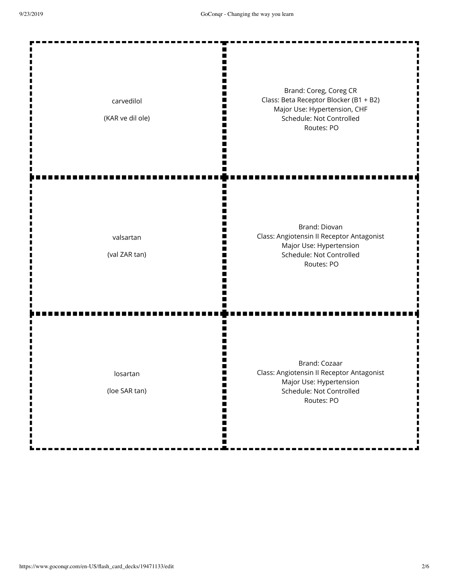| carvedilol<br>(KAR ve dil ole) | Brand: Coreg, Coreg CR<br>Class: Beta Receptor Blocker (B1 + B2)<br>Major Use: Hypertension, CHF<br>Schedule: Not Controlled<br>Routes: PO |
|--------------------------------|--------------------------------------------------------------------------------------------------------------------------------------------|
| valsartan<br>(val ZAR tan)     | Brand: Diovan<br>Class: Angiotensin II Receptor Antagonist<br>Major Use: Hypertension<br>Schedule: Not Controlled<br>Routes: PO            |
| losartan<br>(loe SAR tan)      | <b>Brand: Cozaar</b><br>Class: Angiotensin II Receptor Antagonist<br>Major Use: Hypertension<br>Schedule: Not Controlled<br>Routes: PO     |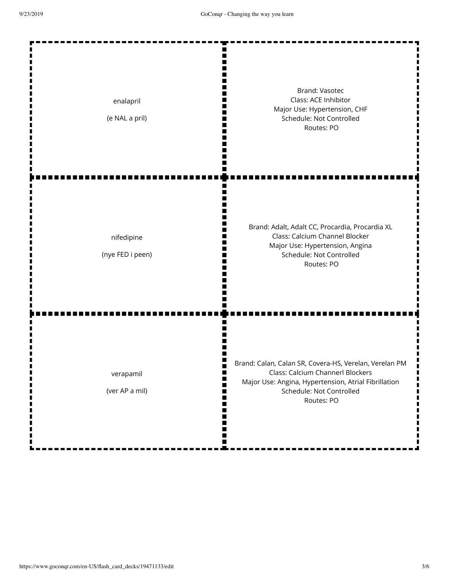| enalapril<br>(e NAL a pril)    | <b>Brand: Vasotec</b><br>Class: ACE Inhibitor<br>Major Use: Hypertension, CHF<br>Schedule: Not Controlled<br>Routes: PO                                                                      |
|--------------------------------|----------------------------------------------------------------------------------------------------------------------------------------------------------------------------------------------|
| nifedipine<br>(nye FED i peen) | Brand: Adalt, Adalt CC, Procardia, Procardia XL<br>Class: Calcium Channel Blocker<br>Major Use: Hypertension, Angina<br>Schedule: Not Controlled<br>Routes: PO                               |
| verapamil<br>(ver AP a mil)    | Brand: Calan, Calan SR, Covera-HS, Verelan, Verelan PM<br>Class: Calcium Channerl Blockers<br>Major Use: Angina, Hypertension, Atrial Fibrillation<br>Schedule: Not Controlled<br>Routes: PO |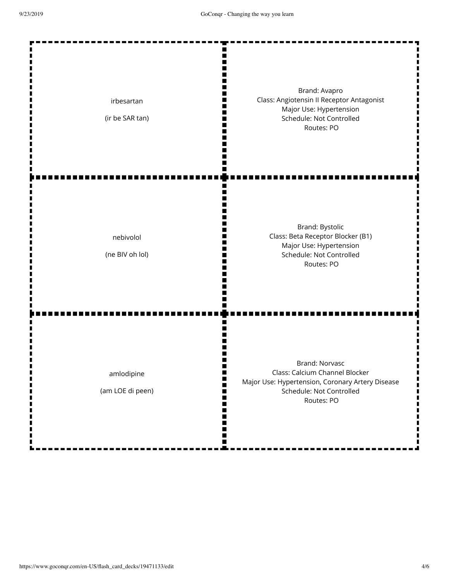| irbesartan<br>(ir be SAR tan)  | Brand: Avapro<br>Class: Angiotensin II Receptor Antagonist<br>Major Use: Hypertension<br>Schedule: Not Controlled<br>Routes: PO                       |
|--------------------------------|-------------------------------------------------------------------------------------------------------------------------------------------------------|
| nebivolol<br>(ne BIV oh lol)   | Brand: Bystolic<br>Class: Beta Receptor Blocker (B1)<br>Major Use: Hypertension<br>Schedule: Not Controlled<br>Routes: PO                             |
| amlodipine<br>(am LOE di peen) | <b>Brand: Norvasc</b><br>Class: Calcium Channel Blocker<br>Major Use: Hypertension, Coronary Artery Disease<br>Schedule: Not Controlled<br>Routes: PO |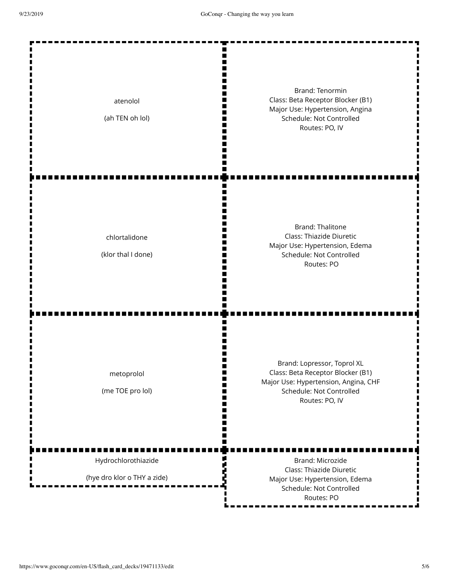